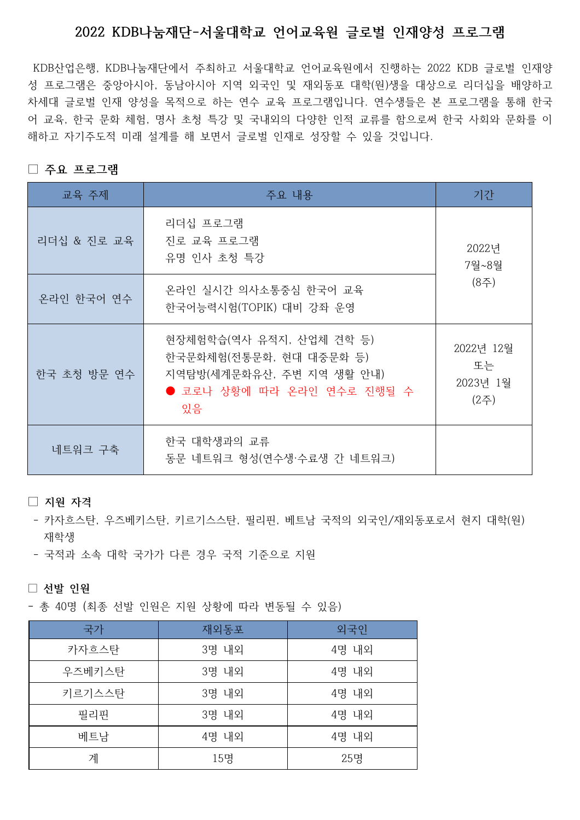## 2022 KDB나눔재단-서울대학교 언어교육원 글로벌 인재양성 프로그램

KDB산업은행, KDB나눔재단에서 주최하고 서울대학교 언어교육원에서 진행하는 2022 KDB 글로벌 인재양 성 프로그램은 중앙아시아, 동남아시아 지역 외국인 및 재외동포 대학(원)생을 대상으로 리더십을 배양하고 차세대 글로벌 인재 양성을 목적으로 하는 연수 교육 프로그램입니다. 연수생들은 본 프로그램을 통해 한국 어 교육, 한국 문화 체험, 명사 초청 특강 및 국내외의 다양한 인적 교류를 함으로써 한국 사회와 문화를 이 해하고 자기주도적 미래 설계를 해 보면서 글로벌 인재로 성장할 수 있을 것입니다.

## □ 주요 프로그램

| 교육 주제       | 주요 내용                                                                                                                | 기간                                  |  |
|-------------|----------------------------------------------------------------------------------------------------------------------|-------------------------------------|--|
| 리더십 & 진로 교육 | 리더십 프로그램<br>진로 교육 프로그램<br>유명 인사 초청 특강                                                                                | 2022년<br>7월~8월<br>(8주)              |  |
| 온라인 한국어 연수  | 온라인 실시간 의사소통중심 한국어 교육<br>한국어능력시험(TOPIK) 대비 강좌 운영                                                                     |                                     |  |
| 한국 초청 방문 연수 | 현장체험학습(역사 유적지, 산업체 견학 등)<br>한국문화체험(전통문화, 현대 대중문화 등)<br>지역탐방(세계문화유산, 주변 지역 생활 안내)<br>● 코로나 상황에 따라 온라인 연수로 진행될 수<br>있음 | 2022년 12월<br>또는<br>2023년 1월<br>(2주) |  |
| 네트워크 구축     | 한국 대학생과의 교류<br>동문 네트워크 형성(연수생·수료생 간 네트워크)                                                                            |                                     |  |

## $\Box$  지워 자격

- 카자흐스탄, 우즈베키스탄, 키르기스스탄, 필리핀, 베트남 국적의 외국인/재외동포로서 현지 대학(임) 재학생
- 국적과 소속 대학 국가가 다른 경우 국적 기준으로 지원

□ 선발 인원

- 총 40명 (최종 선발 인원은 지원 상황에 따라 변동될 수 있음)

| 국가     | 재외동포       | 외국인   |  |
|--------|------------|-------|--|
| 카자흐스탄  | 3명 내외      | 4명 내외 |  |
| 우즈베키스탄 | 3명 내외      | 4명 내외 |  |
| 키르기스스탄 | 3명 내외      | 4명 내외 |  |
| 필리핀    | 3명 내외      | 4명 내외 |  |
| 베트남    | 4명 내외      | 4명 내외 |  |
| 계      | 15명<br>25명 |       |  |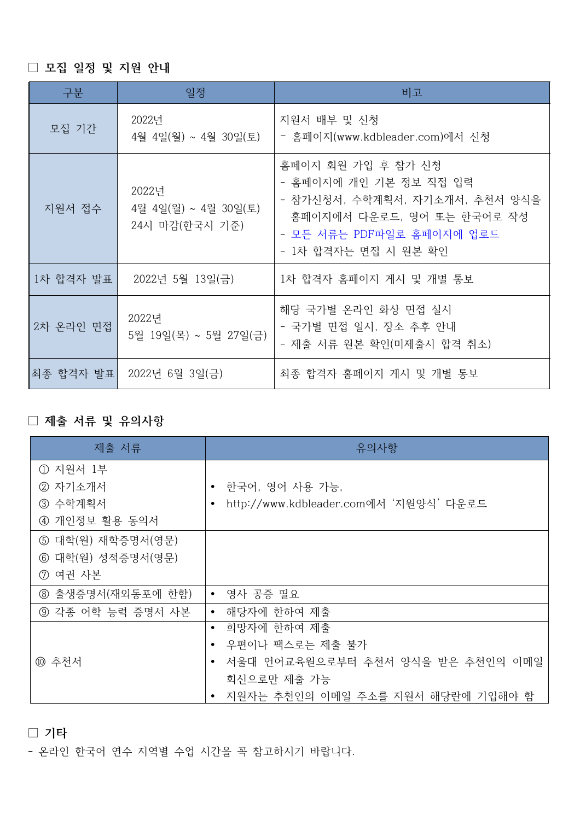□ 모집 일정 및 지원 안내

| 구분        | 일정                                              | 비고                                                                                                                                                                |
|-----------|-------------------------------------------------|-------------------------------------------------------------------------------------------------------------------------------------------------------------------|
| 모집 기간     | 2022년<br>4월 4일(월) ~ 4월 30일(토)                   | 지원서 배부 및 신청<br>- 홈페이지(www.kdbleader.com)에서 신청                                                                                                                     |
| 지원서 접수    | 2022년<br>4월 4일(월) ~ 4월 30일(토)<br>24시 마감(한국시 기준) | 홈페이지 회원 가입 후 참가 신청<br>- 홈페이지에 개인 기본 정보 직접 입력<br>- 참가신청서, 수학계획서, 자기소개서, 추천서 양식을<br>홈페이지에서 다운로드, 영어 또는 한국어로 작성<br>- 모든 서류는 PDF파일로 홈페이지에 업로드<br>- 1차 합격자는 면접 시 원본 확인 |
| 1차 합격자 발표 | 2022년 5월 13일(금)                                 | 1차 합격자 홈페이지 게시 및 개별 통보                                                                                                                                            |
| 2차 온라인 면접 | 2022년<br>5월 19일(목) ~ 5월 27일(금)                  | 해당 국가별 온라인 화상 면접 실시<br>- 국가별 면접 일시, 장소 추후 안내<br>- 제출 서류 원본 확인(미제출시 합격 취소)                                                                                         |
| 최종 합격자 발표 | 2022년 6월 3일(금)                                  | 최종 합격자 홈페이지 게시 및 개별 통보                                                                                                                                            |

## □ 제출 서류 및 유의사항

| 제출 서류             | 유의사항                                        |  |  |
|-------------------|---------------------------------------------|--|--|
| ① 지원서 1부          |                                             |  |  |
| 2 자기소개서           | 한국어, 영어 사용 가능,<br>$\bullet$                 |  |  |
| ③ 수학계획서           | http://www.kdbleader.com에서 '지원양식' 다운로드<br>٠ |  |  |
| 4 개인정보 활용 동의서     |                                             |  |  |
| ⑤ 대학(원) 재학증명서(영문) |                                             |  |  |
| ⑥ 대학(원) 성적증명서(영문) |                                             |  |  |
| ⑦ 여권 사본           |                                             |  |  |
| ⑧ 출생증명서(재외동포에 한함) | • 영사 공증 필요                                  |  |  |
| ⑨ 각종 어학 능력 증명서 사본 | 해당자에 한하여 제출<br>$\bullet$                    |  |  |
|                   | 희망자에 한하여 제출<br>$\bullet$                    |  |  |
|                   | 우편이나 팩스로는 제출 불가<br>$\bullet$                |  |  |
| ⑩ 추천서             | 서울대 언어교육원으로부터 추천서 양식을 받은 추천인의 이메일           |  |  |
|                   | 회신으로만 제출 가능                                 |  |  |
|                   | 지원자는 추천인의 이메일 주소를 지원서 해당란에 기입해야 함           |  |  |

□ 기타

- 온라인 한국어 연수 지역별 수업 시간을 꼭 참고하시기 바랍니다.